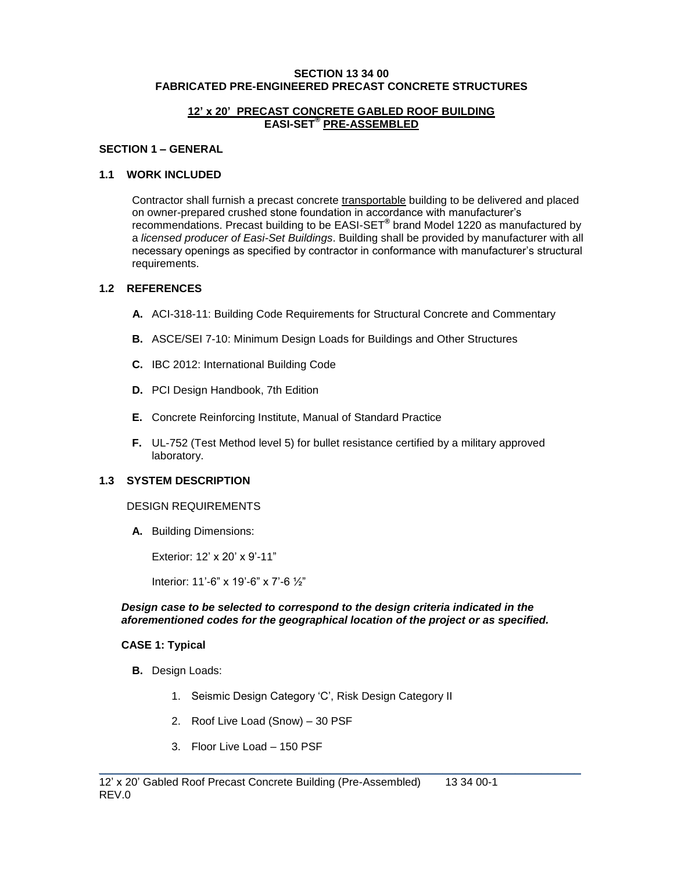#### **SECTION 13 34 00 FABRICATED PRE-ENGINEERED PRECAST CONCRETE STRUCTURES**

### **12' x 20' PRECAST CONCRETE GABLED ROOF BUILDING EASI-SET® PRE-ASSEMBLED**

### **SECTION 1 – GENERAL**

### **1.1 WORK INCLUDED**

Contractor shall furnish a precast concrete transportable building to be delivered and placed on owner-prepared crushed stone foundation in accordance with manufacturer's recommendations. Precast building to be EASI-SET**®** brand Model 1220 as manufactured by a *licensed producer of Easi-Set Buildings*. Building shall be provided by manufacturer with all necessary openings as specified by contractor in conformance with manufacturer's structural requirements.

# **1.2 REFERENCES**

- **A.** ACI-318-11: Building Code Requirements for Structural Concrete and Commentary
- **B.** ASCE/SEI 7-10: Minimum Design Loads for Buildings and Other Structures
- **C.** IBC 2012: International Building Code
- **D.** PCI Design Handbook, 7th Edition
- **E.** Concrete Reinforcing Institute, Manual of Standard Practice
- **F.** UL-752 (Test Method level 5) for bullet resistance certified by a military approved laboratory.

#### **1.3 SYSTEM DESCRIPTION**

#### DESIGN REQUIREMENTS

**A.** Building Dimensions:

Exterior: 12' x 20' x 9'-11"

Interior: 11'-6" x 19'-6" x 7'-6 ½"

#### *Design case to be selected to correspond to the design criteria indicated in the aforementioned codes for the geographical location of the project or as specified.*

\_\_\_\_\_\_\_\_\_\_\_\_\_\_\_\_\_\_\_\_\_\_\_\_\_\_\_\_\_\_\_\_\_\_\_\_\_\_\_\_\_\_\_\_\_\_\_\_\_\_\_\_\_\_\_\_\_\_\_\_\_\_\_\_\_\_\_\_\_\_\_\_\_

#### **CASE 1: Typical**

- **B.** Design Loads:
	- 1. Seismic Design Category 'C', Risk Design Category II
	- 2. Roof Live Load (Snow) 30 PSF
	- 3. Floor Live Load 150 PSF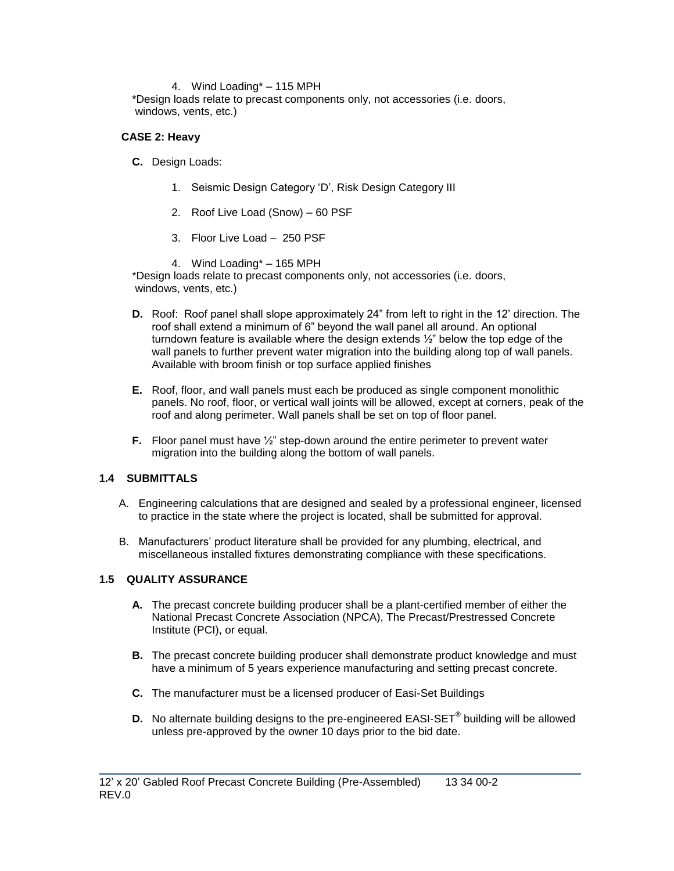### 4. Wind Loading\* – 115 MPH

\*Design loads relate to precast components only, not accessories (i.e. doors, windows, vents, etc.)

### **CASE 2: Heavy**

- **C.** Design Loads:
	- 1. Seismic Design Category 'D', Risk Design Category III
	- 2. Roof Live Load (Snow) 60 PSF
	- 3. Floor Live Load 250 PSF
	- 4. Wind Loading\* 165 MPH

\*Design loads relate to precast components only, not accessories (i.e. doors, windows, vents, etc.)

- **D.** Roof: Roof panel shall slope approximately 24" from left to right in the 12' direction. The roof shall extend a minimum of 6" beyond the wall panel all around. An optional turndown feature is available where the design extends ½" below the top edge of the wall panels to further prevent water migration into the building along top of wall panels. Available with broom finish or top surface applied finishes
- **E.** Roof, floor, and wall panels must each be produced as single component monolithic panels. No roof, floor, or vertical wall joints will be allowed, except at corners, peak of the roof and along perimeter. Wall panels shall be set on top of floor panel.
- **F.** Floor panel must have  $\frac{1}{2}$ " step-down around the entire perimeter to prevent water migration into the building along the bottom of wall panels.

# **1.4 SUBMITTALS**

- A. Engineering calculations that are designed and sealed by a professional engineer, licensed to practice in the state where the project is located, shall be submitted for approval.
- B. Manufacturers' product literature shall be provided for any plumbing, electrical, and miscellaneous installed fixtures demonstrating compliance with these specifications.

#### **1.5 QUALITY ASSURANCE**

- **A.** The precast concrete building producer shall be a plant-certified member of either the National Precast Concrete Association (NPCA), The Precast/Prestressed Concrete Institute (PCI), or equal.
- **B.** The precast concrete building producer shall demonstrate product knowledge and must have a minimum of 5 years experience manufacturing and setting precast concrete.
- **C.** The manufacturer must be a licensed producer of Easi-Set Buildings
- **D.** No alternate building designs to the pre-engineered EASI-SET**®** building will be allowed unless pre-approved by the owner 10 days prior to the bid date.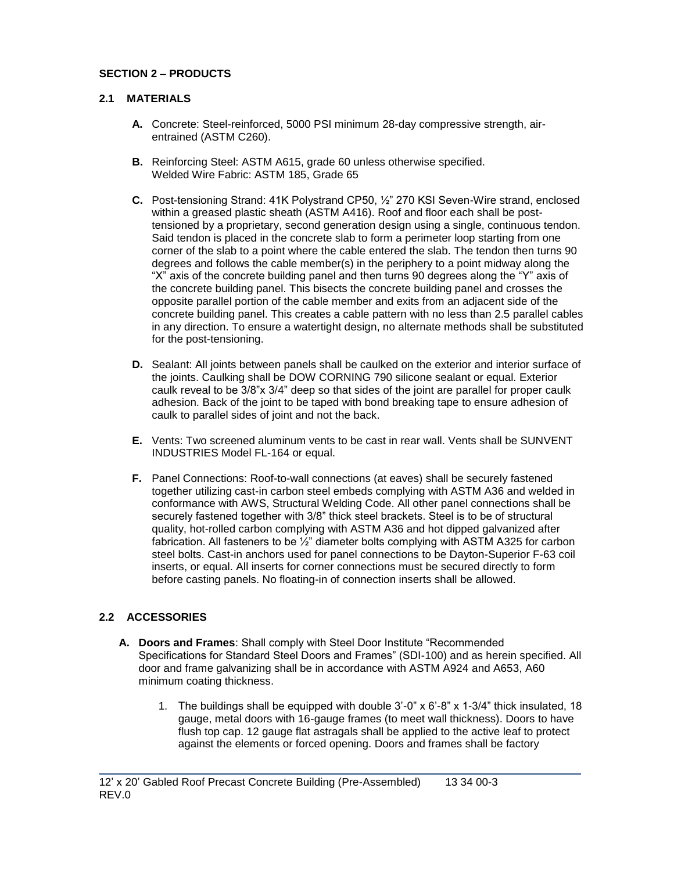# **SECTION 2 – PRODUCTS**

# **2.1 MATERIALS**

- **A.** Concrete: Steel-reinforced, 5000 PSI minimum 28-day compressive strength, airentrained (ASTM C260).
- **B.** Reinforcing Steel: ASTM A615, grade 60 unless otherwise specified. Welded Wire Fabric: ASTM 185, Grade 65
- **C.** Post-tensioning Strand: 41K Polystrand CP50, ½" 270 KSI Seven-Wire strand, enclosed within a greased plastic sheath (ASTM A416). Roof and floor each shall be posttensioned by a proprietary, second generation design using a single, continuous tendon. Said tendon is placed in the concrete slab to form a perimeter loop starting from one corner of the slab to a point where the cable entered the slab. The tendon then turns 90 degrees and follows the cable member(s) in the periphery to a point midway along the "X" axis of the concrete building panel and then turns 90 degrees along the "Y" axis of the concrete building panel. This bisects the concrete building panel and crosses the opposite parallel portion of the cable member and exits from an adjacent side of the concrete building panel. This creates a cable pattern with no less than 2.5 parallel cables in any direction. To ensure a watertight design, no alternate methods shall be substituted for the post-tensioning.
- **D.** Sealant: All joints between panels shall be caulked on the exterior and interior surface of the joints. Caulking shall be DOW CORNING 790 silicone sealant or equal. Exterior caulk reveal to be 3/8"x 3/4" deep so that sides of the joint are parallel for proper caulk adhesion. Back of the joint to be taped with bond breaking tape to ensure adhesion of caulk to parallel sides of joint and not the back.
- **E.** Vents: Two screened aluminum vents to be cast in rear wall. Vents shall be SUNVENT INDUSTRIES Model FL-164 or equal.
- **F.** Panel Connections: Roof-to-wall connections (at eaves) shall be securely fastened together utilizing cast-in carbon steel embeds complying with ASTM A36 and welded in conformance with AWS, Structural Welding Code. All other panel connections shall be securely fastened together with 3/8" thick steel brackets. Steel is to be of structural quality, hot-rolled carbon complying with ASTM A36 and hot dipped galvanized after fabrication. All fasteners to be ½" diameter bolts complying with ASTM A325 for carbon steel bolts. Cast-in anchors used for panel connections to be Dayton-Superior F-63 coil inserts, or equal. All inserts for corner connections must be secured directly to form before casting panels. No floating-in of connection inserts shall be allowed.

# **2.2 ACCESSORIES**

**A. Doors and Frames**: Shall comply with Steel Door Institute "Recommended Specifications for Standard Steel Doors and Frames" (SDI-100) and as herein specified. All door and frame galvanizing shall be in accordance with ASTM A924 and A653, A60 minimum coating thickness.

\_\_\_\_\_\_\_\_\_\_\_\_\_\_\_\_\_\_\_\_\_\_\_\_\_\_\_\_\_\_\_\_\_\_\_\_\_\_\_\_\_\_\_\_\_\_\_\_\_\_\_\_\_\_\_\_\_\_\_\_\_\_\_\_\_\_\_\_\_\_\_\_\_

1. The buildings shall be equipped with double 3'-0" x 6'-8" x 1-3/4" thick insulated, 18 gauge, metal doors with 16-gauge frames (to meet wall thickness). Doors to have flush top cap. 12 gauge flat astragals shall be applied to the active leaf to protect against the elements or forced opening. Doors and frames shall be factory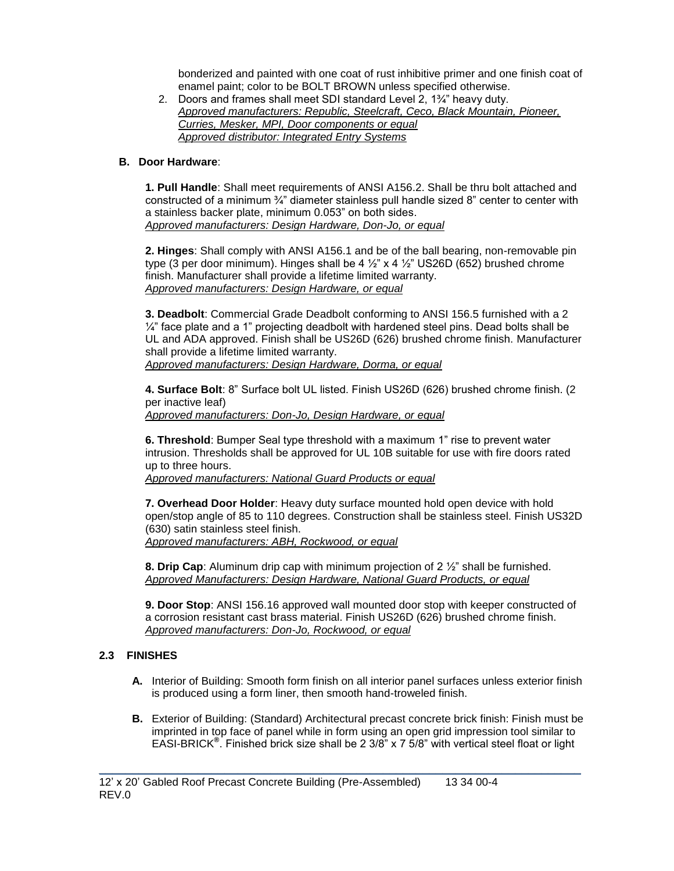bonderized and painted with one coat of rust inhibitive primer and one finish coat of enamel paint; color to be BOLT BROWN unless specified otherwise.

2. Doors and frames shall meet SDI standard Level 2, 1¾" heavy duty. *Approved manufacturers: Republic, Steelcraft, Ceco, Black Mountain, Pioneer, Curries, Mesker, MPI, Door components or equal Approved distributor: Integrated Entry Systems*

### **B. Door Hardware**:

**1. Pull Handle**: Shall meet requirements of ANSI A156.2. Shall be thru bolt attached and constructed of a minimum ¾" diameter stainless pull handle sized 8" center to center with a stainless backer plate, minimum 0.053" on both sides. *Approved manufacturers: Design Hardware, Don-Jo, or equal*

**2. Hinges**: Shall comply with ANSI A156.1 and be of the ball bearing, non-removable pin type (3 per door minimum). Hinges shall be  $4\frac{1}{2}$  x  $4\frac{1}{2}$  US26D (652) brushed chrome finish. Manufacturer shall provide a lifetime limited warranty. *Approved manufacturers: Design Hardware, or equal*

**3. Deadbolt**: Commercial Grade Deadbolt conforming to ANSI 156.5 furnished with a 2  $\frac{1}{4}$ " face plate and a 1" projecting deadbolt with hardened steel pins. Dead bolts shall be UL and ADA approved. Finish shall be US26D (626) brushed chrome finish. Manufacturer shall provide a lifetime limited warranty. *Approved manufacturers: Design Hardware, Dorma, or equal*

**4. Surface Bolt**: 8" Surface bolt UL listed. Finish US26D (626) brushed chrome finish. (2 per inactive leaf) *Approved manufacturers: Don-Jo, Design Hardware, or equal*

**6. Threshold**: Bumper Seal type threshold with a maximum 1" rise to prevent water intrusion. Thresholds shall be approved for UL 10B suitable for use with fire doors rated up to three hours.

*Approved manufacturers: National Guard Products or equal* 

**7. Overhead Door Holder**: Heavy duty surface mounted hold open device with hold open/stop angle of 85 to 110 degrees. Construction shall be stainless steel. Finish US32D (630) satin stainless steel finish. *Approved manufacturers: ABH, Rockwood, or equal*

**8. Drip Cap**: Aluminum drip cap with minimum projection of 2 ½" shall be furnished. *Approved Manufacturers: Design Hardware, National Guard Products, or equal*

**9. Door Stop**: ANSI 156.16 approved wall mounted door stop with keeper constructed of a corrosion resistant cast brass material. Finish US26D (626) brushed chrome finish. *Approved manufacturers: Don-Jo, Rockwood, or equal*

# **2.3 FINISHES**

- **A.** Interior of Building: Smooth form finish on all interior panel surfaces unless exterior finish is produced using a form liner, then smooth hand-troweled finish.
- **B.** Exterior of Building: (Standard) Architectural precast concrete brick finish: Finish must be imprinted in top face of panel while in form using an open grid impression tool similar to EASI-BRICK**®** . Finished brick size shall be 2 3/8" x 7 5/8" with vertical steel float or light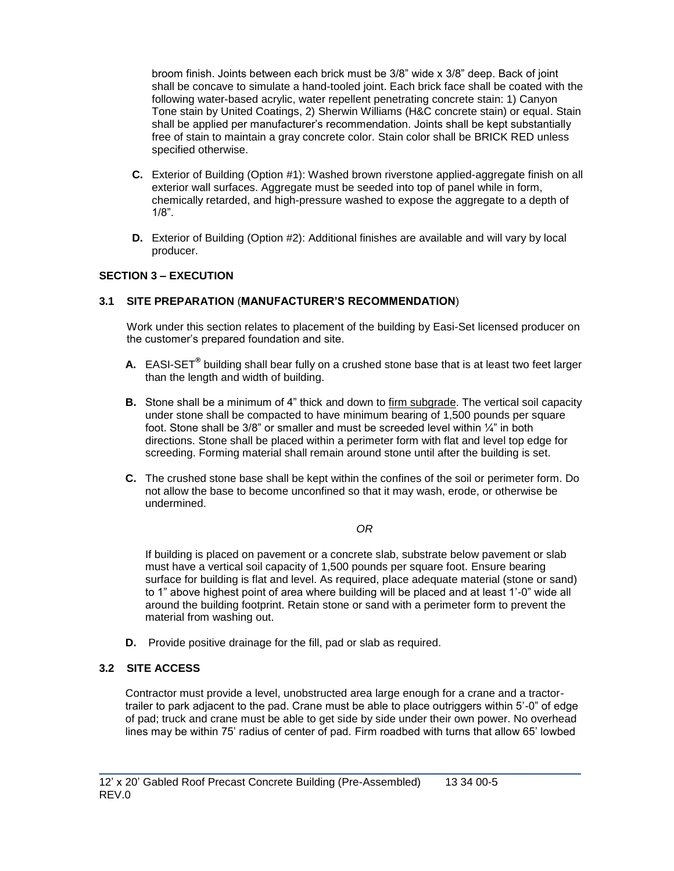broom finish. Joints between each brick must be 3/8" wide x 3/8" deep. Back of joint shall be concave to simulate a hand-tooled joint. Each brick face shall be coated with the following water-based acrylic, water repellent penetrating concrete stain: 1) Canyon Tone stain by United Coatings, 2) Sherwin Williams (H&C concrete stain) or equal. Stain shall be applied per manufacturer's recommendation. Joints shall be kept substantially free of stain to maintain a gray concrete color. Stain color shall be BRICK RED unless specified otherwise.

- **C.** Exterior of Building (Option #1): Washed brown riverstone applied-aggregate finish on all exterior wall surfaces. Aggregate must be seeded into top of panel while in form, chemically retarded, and high-pressure washed to expose the aggregate to a depth of 1/8".
- **D.** Exterior of Building (Option #2): Additional finishes are available and will vary by local producer.

# **SECTION 3 – EXECUTION**

# **3.1 SITE PREPARATION** (**MANUFACTURER'S RECOMMENDATION**)

Work under this section relates to placement of the building by Easi-Set licensed producer on the customer's prepared foundation and site.

- **A.** EASI-SET**®** building shall bear fully on a crushed stone base that is at least two feet larger than the length and width of building.
- **B.** Stone shall be a minimum of 4" thick and down to firm subgrade. The vertical soil capacity under stone shall be compacted to have minimum bearing of 1,500 pounds per square foot. Stone shall be  $3/8$ " or smaller and must be screeded level within  $\frac{1}{4}$ " in both directions. Stone shall be placed within a perimeter form with flat and level top edge for screeding. Forming material shall remain around stone until after the building is set.
- **C.** The crushed stone base shall be kept within the confines of the soil or perimeter form. Do not allow the base to become unconfined so that it may wash, erode, or otherwise be undermined.

#### *OR*

If building is placed on pavement or a concrete slab, substrate below pavement or slab must have a vertical soil capacity of 1,500 pounds per square foot. Ensure bearing surface for building is flat and level. As required, place adequate material (stone or sand) to 1" above highest point of area where building will be placed and at least 1'-0" wide all around the building footprint. Retain stone or sand with a perimeter form to prevent the material from washing out.

**D.** Provide positive drainage for the fill, pad or slab as required.

# **3.2 SITE ACCESS**

Contractor must provide a level, unobstructed area large enough for a crane and a tractortrailer to park adjacent to the pad. Crane must be able to place outriggers within 5'-0" of edge of pad; truck and crane must be able to get side by side under their own power. No overhead lines may be within 75' radius of center of pad. Firm roadbed with turns that allow 65' lowbed